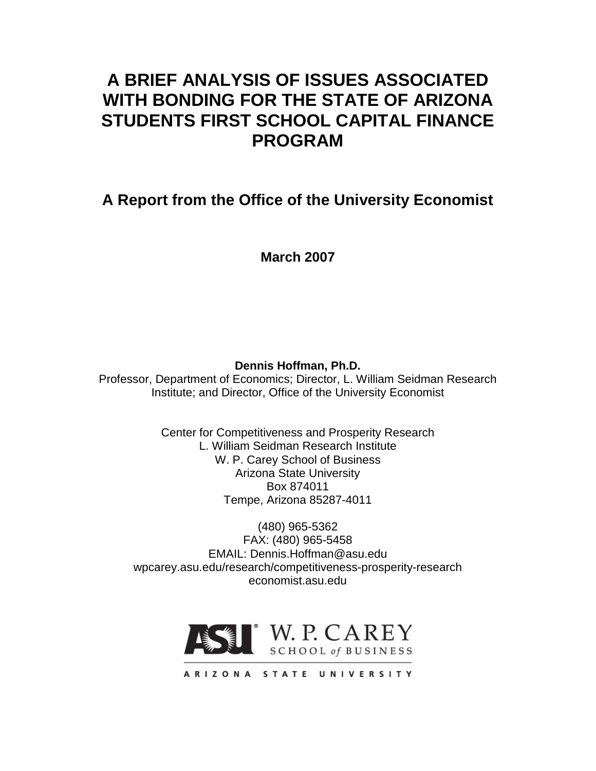# **A BRIEF ANALYSIS OF ISSUES ASSOCIATED WITH BONDING FOR THE STATE OF ARIZONA STUDENTS FIRST SCHOOL CAPITAL FINANCE PROGRAM**

# **A Report from the Office of the University Economist**

**March 2007**

**Dennis Hoffman, Ph.D.**

Professor, Department of Economics; Director, L. William Seidman Research Institute; and Director, Office of the University Economist

> Center for Competitiveness and Prosperity Research L. William Seidman Research Institute W. P. Carey School of Business Arizona State University Box 874011 Tempe, Arizona 85287-4011

(480) 965-5362 FAX: (480) 965-5458 EMAIL: Dennis.Hoffman@asu.edu wpcarey.asu.edu/research/competitiveness-prosperity-research economist.asu.edu



ARIZONA STATE UNIVERSITY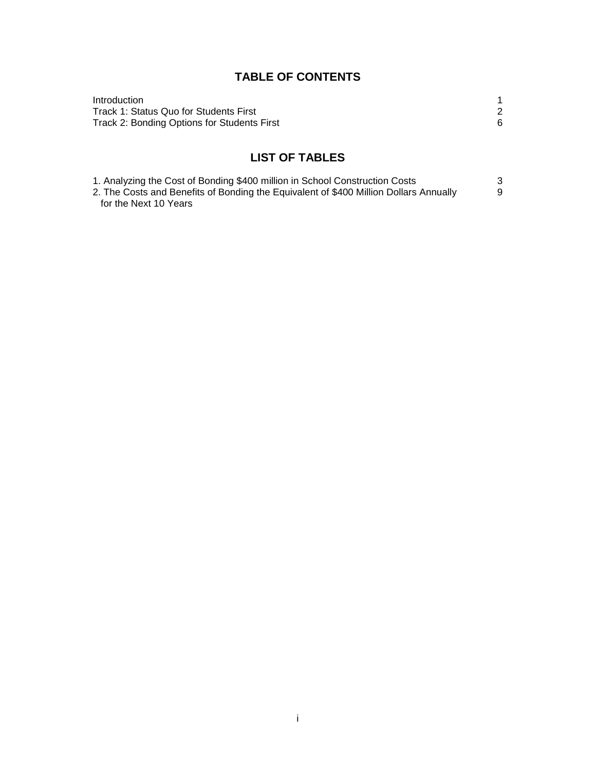# **TABLE OF CONTENTS**

| Introduction                                |  |
|---------------------------------------------|--|
| Track 1: Status Quo for Students First      |  |
| Track 2: Bonding Options for Students First |  |

# **LIST OF TABLES**

| 1. Analyzing the Cost of Bonding \$400 million in School Construction Costs           |  |
|---------------------------------------------------------------------------------------|--|
| 2. The Costs and Benefits of Bonding the Equivalent of \$400 Million Dollars Annually |  |
| for the Next 10 Years                                                                 |  |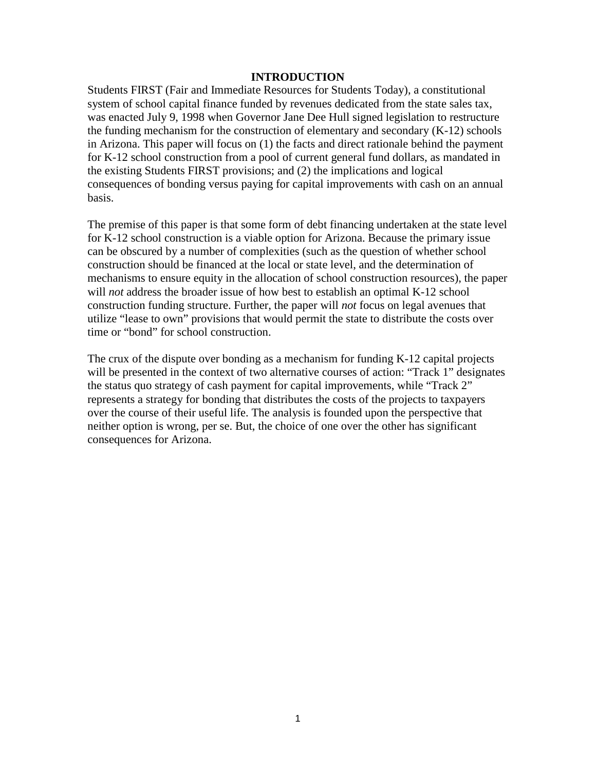#### **INTRODUCTION**

Students FIRST (Fair and Immediate Resources for Students Today), a constitutional system of school capital finance funded by revenues dedicated from the state sales tax, was enacted July 9, 1998 when Governor Jane Dee Hull signed legislation to restructure the funding mechanism for the construction of elementary and secondary (K-12) schools in Arizona. This paper will focus on (1) the facts and direct rationale behind the payment for K-12 school construction from a pool of current general fund dollars, as mandated in the existing Students FIRST provisions; and (2) the implications and logical consequences of bonding versus paying for capital improvements with cash on an annual basis.

The premise of this paper is that some form of debt financing undertaken at the state level for K-12 school construction is a viable option for Arizona. Because the primary issue can be obscured by a number of complexities (such as the question of whether school construction should be financed at the local or state level, and the determination of mechanisms to ensure equity in the allocation of school construction resources), the paper will *not* address the broader issue of how best to establish an optimal K-12 school construction funding structure. Further, the paper will *not* focus on legal avenues that utilize "lease to own" provisions that would permit the state to distribute the costs over time or "bond" for school construction.

The crux of the dispute over bonding as a mechanism for funding K-12 capital projects will be presented in the context of two alternative courses of action: "Track 1" designates the status quo strategy of cash payment for capital improvements, while "Track 2" represents a strategy for bonding that distributes the costs of the projects to taxpayers over the course of their useful life. The analysis is founded upon the perspective that neither option is wrong, per se. But, the choice of one over the other has significant consequences for Arizona.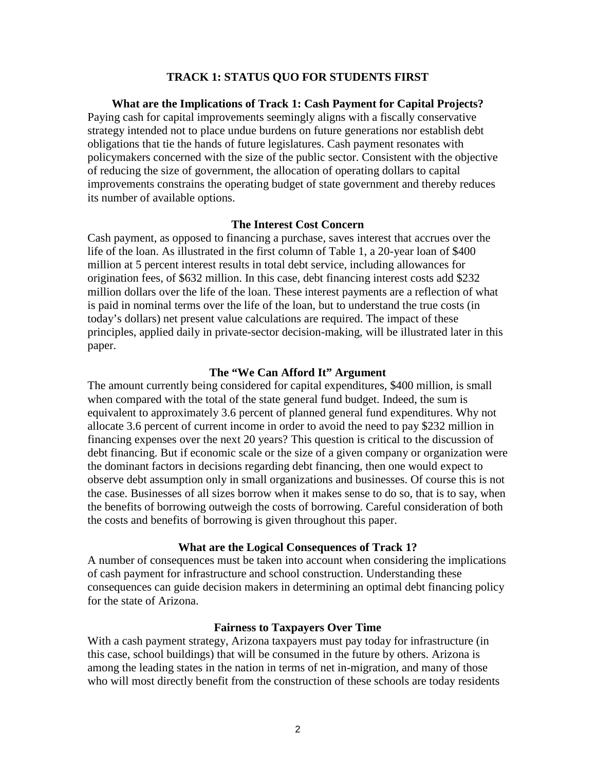#### **TRACK 1: STATUS QUO FOR STUDENTS FIRST**

**What are the Implications of Track 1: Cash Payment for Capital Projects?** Paying cash for capital improvements seemingly aligns with a fiscally conservative strategy intended not to place undue burdens on future generations nor establish debt obligations that tie the hands of future legislatures. Cash payment resonates with policymakers concerned with the size of the public sector. Consistent with the objective of reducing the size of government, the allocation of operating dollars to capital improvements constrains the operating budget of state government and thereby reduces its number of available options.

#### **The Interest Cost Concern**

Cash payment, as opposed to financing a purchase, saves interest that accrues over the life of the loan. As illustrated in the first column of Table 1, a 20-year loan of \$400 million at 5 percent interest results in total debt service, including allowances for origination fees, of \$632 million. In this case, debt financing interest costs add \$232 million dollars over the life of the loan. These interest payments are a reflection of what is paid in nominal terms over the life of the loan, but to understand the true costs (in today's dollars) net present value calculations are required. The impact of these principles, applied daily in private-sector decision-making, will be illustrated later in this paper.

#### **The "We Can Afford It" Argument**

The amount currently being considered for capital expenditures, \$400 million, is small when compared with the total of the state general fund budget. Indeed, the sum is equivalent to approximately 3.6 percent of planned general fund expenditures. Why not allocate 3.6 percent of current income in order to avoid the need to pay \$232 million in financing expenses over the next 20 years? This question is critical to the discussion of debt financing. But if economic scale or the size of a given company or organization were the dominant factors in decisions regarding debt financing, then one would expect to observe debt assumption only in small organizations and businesses. Of course this is not the case. Businesses of all sizes borrow when it makes sense to do so, that is to say, when the benefits of borrowing outweigh the costs of borrowing. Careful consideration of both the costs and benefits of borrowing is given throughout this paper.

#### **What are the Logical Consequences of Track 1?**

A number of consequences must be taken into account when considering the implications of cash payment for infrastructure and school construction. Understanding these consequences can guide decision makers in determining an optimal debt financing policy for the state of Arizona.

#### **Fairness to Taxpayers Over Time**

With a cash payment strategy, Arizona taxpayers must pay today for infrastructure (in this case, school buildings) that will be consumed in the future by others. Arizona is among the leading states in the nation in terms of net in-migration, and many of those who will most directly benefit from the construction of these schools are today residents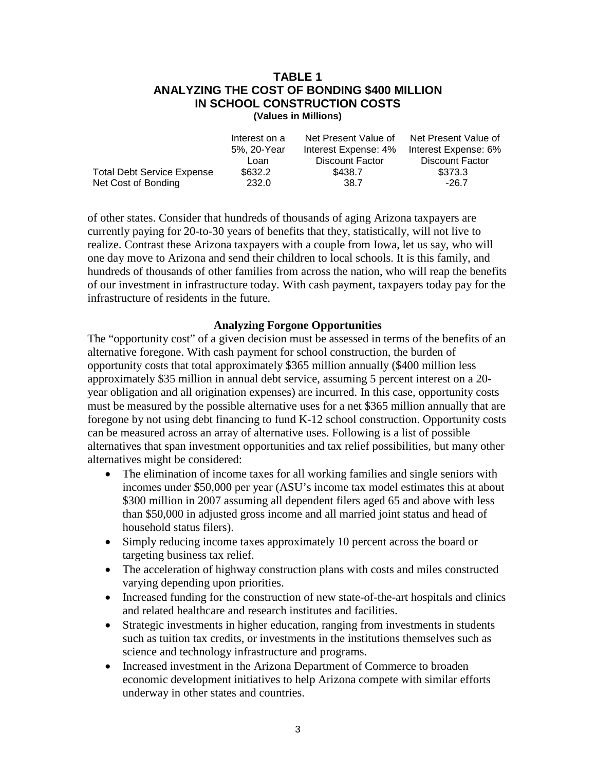### **TABLE 1 ANALYZING THE COST OF BONDING \$400 MILLION IN SCHOOL CONSTRUCTION COSTS (Values in Millions)**

|                                   | Interest on a | Net Present Value of | Net Present Value of |
|-----------------------------------|---------------|----------------------|----------------------|
|                                   | 5%, 20-Year   | Interest Expense: 4% | Interest Expense: 6% |
|                                   | Loan          | Discount Factor      | Discount Factor      |
| <b>Total Debt Service Expense</b> | \$632.2       | \$438.7              | \$373.3              |
| Net Cost of Bonding               | 232.0         | 38.7                 | $-26.7$              |

of other states. Consider that hundreds of thousands of aging Arizona taxpayers are currently paying for 20-to-30 years of benefits that they, statistically, will not live to realize. Contrast these Arizona taxpayers with a couple from Iowa, let us say, who will one day move to Arizona and send their children to local schools. It is this family, and hundreds of thousands of other families from across the nation, who will reap the benefits of our investment in infrastructure today. With cash payment, taxpayers today pay for the infrastructure of residents in the future.

# **Analyzing Forgone Opportunities**

The "opportunity cost" of a given decision must be assessed in terms of the benefits of an alternative foregone. With cash payment for school construction, the burden of opportunity costs that total approximately \$365 million annually (\$400 million less approximately \$35 million in annual debt service, assuming 5 percent interest on a 20 year obligation and all origination expenses) are incurred. In this case, opportunity costs must be measured by the possible alternative uses for a net \$365 million annually that are foregone by not using debt financing to fund K-12 school construction. Opportunity costs can be measured across an array of alternative uses. Following is a list of possible alternatives that span investment opportunities and tax relief possibilities, but many other alternatives might be considered:

- The elimination of income taxes for all working families and single seniors with incomes under \$50,000 per year (ASU's income tax model estimates this at about \$300 million in 2007 assuming all dependent filers aged 65 and above with less than \$50,000 in adjusted gross income and all married joint status and head of household status filers).
- Simply reducing income taxes approximately 10 percent across the board or targeting business tax relief.
- The acceleration of highway construction plans with costs and miles constructed varying depending upon priorities.
- Increased funding for the construction of new state-of-the-art hospitals and clinics and related healthcare and research institutes and facilities.
- Strategic investments in higher education, ranging from investments in students such as tuition tax credits, or investments in the institutions themselves such as science and technology infrastructure and programs.
- Increased investment in the Arizona Department of Commerce to broaden economic development initiatives to help Arizona compete with similar efforts underway in other states and countries.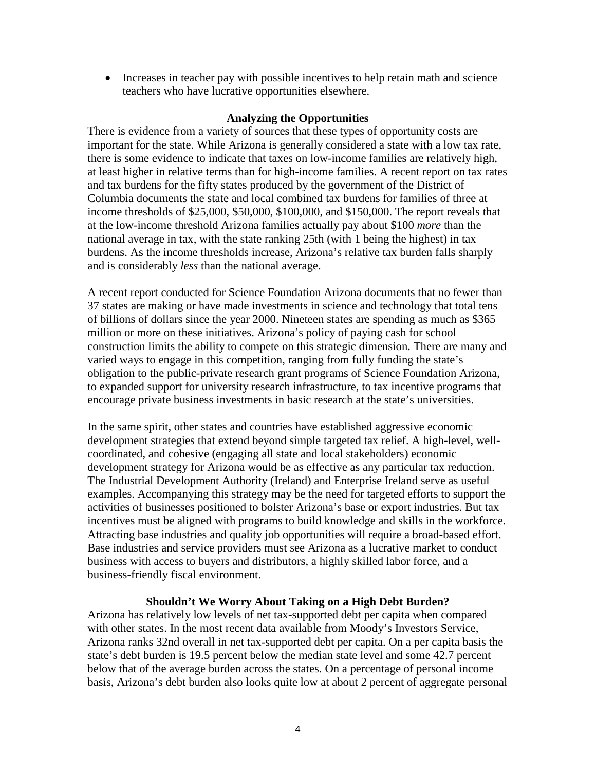• Increases in teacher pay with possible incentives to help retain math and science teachers who have lucrative opportunities elsewhere.

# **Analyzing the Opportunities**

There is evidence from a variety of sources that these types of opportunity costs are important for the state. While Arizona is generally considered a state with a low tax rate, there is some evidence to indicate that taxes on low-income families are relatively high, at least higher in relative terms than for high-income families. A recent report on tax rates and tax burdens for the fifty states produced by the government of the District of Columbia documents the state and local combined tax burdens for families of three at income thresholds of \$25,000, \$50,000, \$100,000, and \$150,000. The report reveals that at the low-income threshold Arizona families actually pay about \$100 *more* than the national average in tax, with the state ranking 25th (with 1 being the highest) in tax burdens. As the income thresholds increase, Arizona's relative tax burden falls sharply and is considerably *less* than the national average.

A recent report conducted for Science Foundation Arizona documents that no fewer than 37 states are making or have made investments in science and technology that total tens of billions of dollars since the year 2000. Nineteen states are spending as much as \$365 million or more on these initiatives. Arizona's policy of paying cash for school construction limits the ability to compete on this strategic dimension. There are many and varied ways to engage in this competition, ranging from fully funding the state's obligation to the public-private research grant programs of Science Foundation Arizona, to expanded support for university research infrastructure, to tax incentive programs that encourage private business investments in basic research at the state's universities.

In the same spirit, other states and countries have established aggressive economic development strategies that extend beyond simple targeted tax relief. A high-level, wellcoordinated, and cohesive (engaging all state and local stakeholders) economic development strategy for Arizona would be as effective as any particular tax reduction. The Industrial Development Authority (Ireland) and Enterprise Ireland serve as useful examples. Accompanying this strategy may be the need for targeted efforts to support the activities of businesses positioned to bolster Arizona's base or export industries. But tax incentives must be aligned with programs to build knowledge and skills in the workforce. Attracting base industries and quality job opportunities will require a broad-based effort. Base industries and service providers must see Arizona as a lucrative market to conduct business with access to buyers and distributors, a highly skilled labor force, and a business-friendly fiscal environment.

# **Shouldn't We Worry About Taking on a High Debt Burden?**

Arizona has relatively low levels of net tax-supported debt per capita when compared with other states. In the most recent data available from Moody's Investors Service, Arizona ranks 32nd overall in net tax-supported debt per capita. On a per capita basis the state's debt burden is 19.5 percent below the median state level and some 42.7 percent below that of the average burden across the states. On a percentage of personal income basis, Arizona's debt burden also looks quite low at about 2 percent of aggregate personal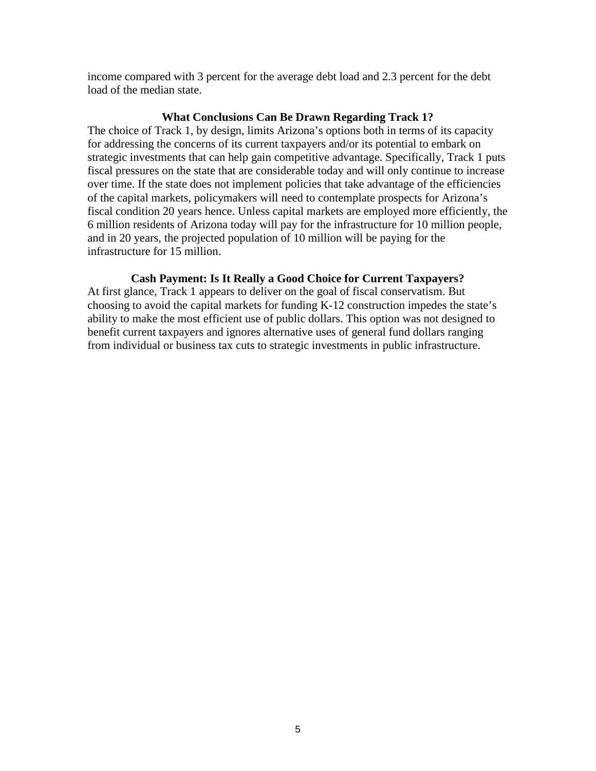income compared with 3 percent for the average debt load and 2.3 percent for the debt load of the median state.

#### **What Conclusions Can Be Drawn Regarding Track 1?**

The choice of Track 1, by design, limits Arizona's options both in terms of its capacity for addressing the concerns of its current taxpayers and/or its potential to embark on strategic investments that can help gain competitive advantage. Specifically, Track 1 puts fiscal pressures on the state that are considerable today and will only continue to increase over time. If the state does not implement policies that take advantage of the efficiencies of the capital markets, policymakers will need to contemplate prospects for Arizona's fiscal condition 20 years hence. Unless capital markets are employed more efficiently, the 6 million residents of Arizona today will pay for the infrastructure for 10 million people, and in 20 years, the projected population of 10 million will be paying for the infrastructure for 15 million.

# **Cash Payment: Is It Really a Good Choice for Current Taxpayers?**

At first glance, Track 1 appears to deliver on the goal of fiscal conservatism. But choosing to avoid the capital markets for funding K-12 construction impedes the state's ability to make the most efficient use of public dollars. This option was not designed to benefit current taxpayers and ignores alternative uses of general fund dollars ranging from individual or business tax cuts to strategic investments in public infrastructure.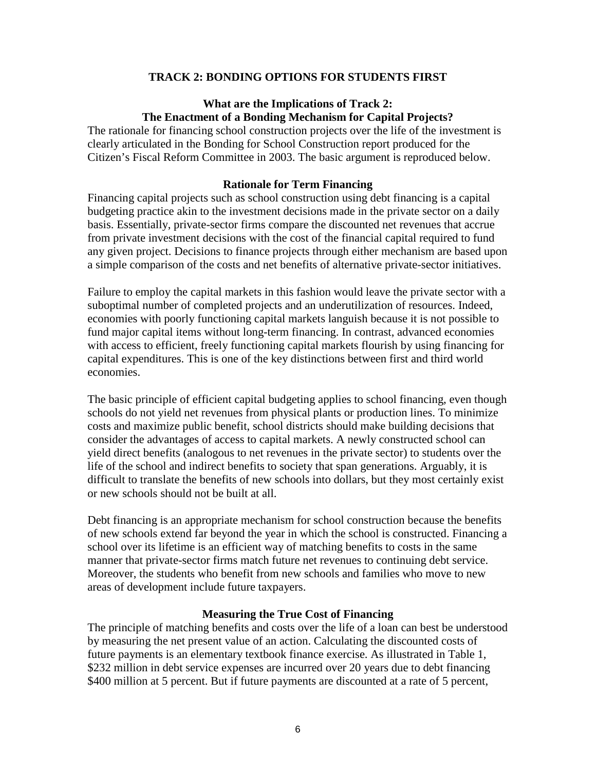# **TRACK 2: BONDING OPTIONS FOR STUDENTS FIRST**

# **What are the Implications of Track 2: The Enactment of a Bonding Mechanism for Capital Projects?**

The rationale for financing school construction projects over the life of the investment is clearly articulated in the Bonding for School Construction report produced for the Citizen's Fiscal Reform Committee in 2003. The basic argument is reproduced below.

#### **Rationale for Term Financing**

Financing capital projects such as school construction using debt financing is a capital budgeting practice akin to the investment decisions made in the private sector on a daily basis. Essentially, private-sector firms compare the discounted net revenues that accrue from private investment decisions with the cost of the financial capital required to fund any given project. Decisions to finance projects through either mechanism are based upon a simple comparison of the costs and net benefits of alternative private-sector initiatives.

Failure to employ the capital markets in this fashion would leave the private sector with a suboptimal number of completed projects and an underutilization of resources. Indeed, economies with poorly functioning capital markets languish because it is not possible to fund major capital items without long-term financing. In contrast, advanced economies with access to efficient, freely functioning capital markets flourish by using financing for capital expenditures. This is one of the key distinctions between first and third world economies.

The basic principle of efficient capital budgeting applies to school financing, even though schools do not yield net revenues from physical plants or production lines. To minimize costs and maximize public benefit, school districts should make building decisions that consider the advantages of access to capital markets. A newly constructed school can yield direct benefits (analogous to net revenues in the private sector) to students over the life of the school and indirect benefits to society that span generations. Arguably, it is difficult to translate the benefits of new schools into dollars, but they most certainly exist or new schools should not be built at all.

Debt financing is an appropriate mechanism for school construction because the benefits of new schools extend far beyond the year in which the school is constructed. Financing a school over its lifetime is an efficient way of matching benefits to costs in the same manner that private-sector firms match future net revenues to continuing debt service. Moreover, the students who benefit from new schools and families who move to new areas of development include future taxpayers.

#### **Measuring the True Cost of Financing**

The principle of matching benefits and costs over the life of a loan can best be understood by measuring the net present value of an action. Calculating the discounted costs of future payments is an elementary textbook finance exercise. As illustrated in Table 1, \$232 million in debt service expenses are incurred over 20 years due to debt financing \$400 million at 5 percent. But if future payments are discounted at a rate of 5 percent,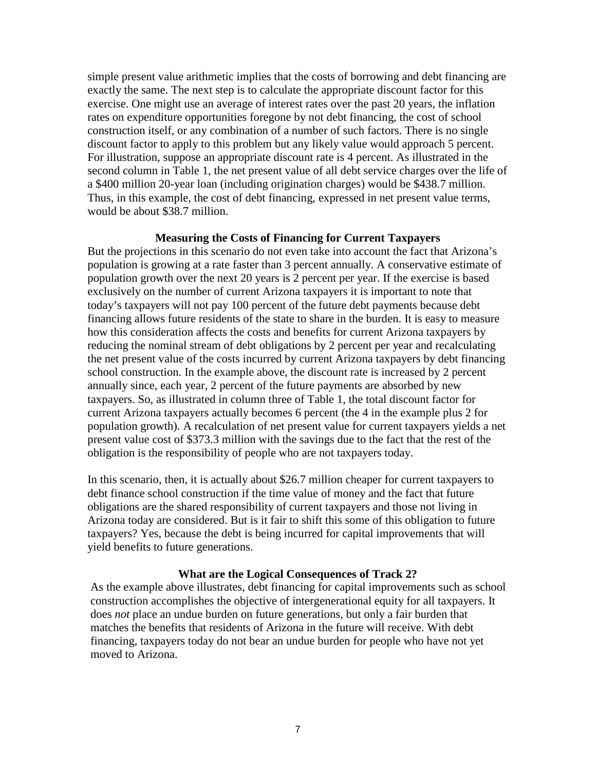simple present value arithmetic implies that the costs of borrowing and debt financing are exactly the same. The next step is to calculate the appropriate discount factor for this exercise. One might use an average of interest rates over the past 20 years, the inflation rates on expenditure opportunities foregone by not debt financing, the cost of school construction itself, or any combination of a number of such factors. There is no single discount factor to apply to this problem but any likely value would approach 5 percent. For illustration, suppose an appropriate discount rate is 4 percent. As illustrated in the second column in Table 1, the net present value of all debt service charges over the life of a \$400 million 20-year loan (including origination charges) would be \$438.7 million. Thus, in this example, the cost of debt financing, expressed in net present value terms, would be about \$38.7 million.

#### **Measuring the Costs of Financing for Current Taxpayers**

But the projections in this scenario do not even take into account the fact that Arizona's population is growing at a rate faster than 3 percent annually. A conservative estimate of population growth over the next 20 years is 2 percent per year. If the exercise is based exclusively on the number of current Arizona taxpayers it is important to note that today's taxpayers will not pay 100 percent of the future debt payments because debt financing allows future residents of the state to share in the burden. It is easy to measure how this consideration affects the costs and benefits for current Arizona taxpayers by reducing the nominal stream of debt obligations by 2 percent per year and recalculating the net present value of the costs incurred by current Arizona taxpayers by debt financing school construction. In the example above, the discount rate is increased by 2 percent annually since, each year, 2 percent of the future payments are absorbed by new taxpayers. So, as illustrated in column three of Table 1, the total discount factor for current Arizona taxpayers actually becomes 6 percent (the 4 in the example plus 2 for population growth). A recalculation of net present value for current taxpayers yields a net present value cost of \$373.3 million with the savings due to the fact that the rest of the obligation is the responsibility of people who are not taxpayers today.

In this scenario, then, it is actually about \$26.7 million cheaper for current taxpayers to debt finance school construction if the time value of money and the fact that future obligations are the shared responsibility of current taxpayers and those not living in Arizona today are considered. But is it fair to shift this some of this obligation to future taxpayers? Yes, because the debt is being incurred for capital improvements that will yield benefits to future generations.

### **What are the Logical Consequences of Track 2?**

As the example above illustrates, debt financing for capital improvements such as school construction accomplishes the objective of intergenerational equity for all taxpayers. It does *not* place an undue burden on future generations, but only a fair burden that matches the benefits that residents of Arizona in the future will receive. With debt financing, taxpayers today do not bear an undue burden for people who have not yet moved to Arizona.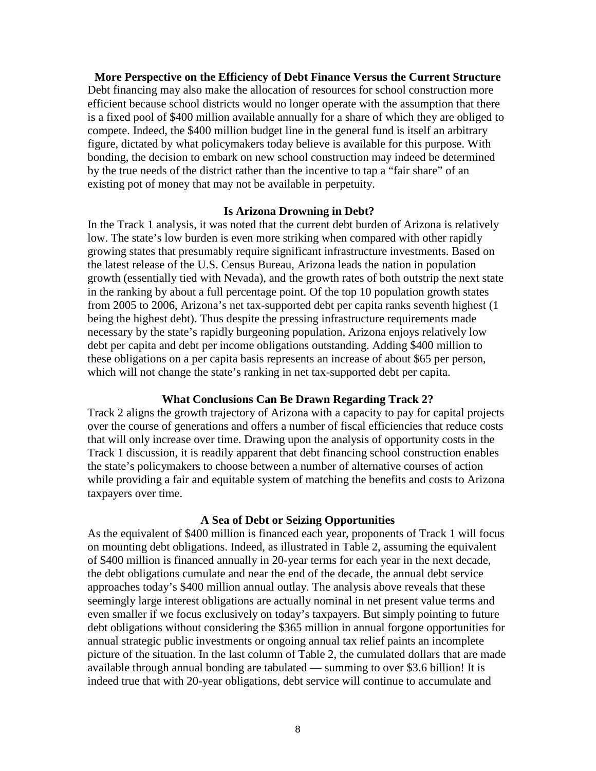**More Perspective on the Efficiency of Debt Finance Versus the Current Structure** Debt financing may also make the allocation of resources for school construction more efficient because school districts would no longer operate with the assumption that there is a fixed pool of \$400 million available annually for a share of which they are obliged to compete. Indeed, the \$400 million budget line in the general fund is itself an arbitrary figure, dictated by what policymakers today believe is available for this purpose. With bonding, the decision to embark on new school construction may indeed be determined by the true needs of the district rather than the incentive to tap a "fair share" of an existing pot of money that may not be available in perpetuity.

#### **Is Arizona Drowning in Debt?**

In the Track 1 analysis, it was noted that the current debt burden of Arizona is relatively low. The state's low burden is even more striking when compared with other rapidly growing states that presumably require significant infrastructure investments. Based on the latest release of the U.S. Census Bureau, Arizona leads the nation in population growth (essentially tied with Nevada), and the growth rates of both outstrip the next state in the ranking by about a full percentage point. Of the top 10 population growth states from 2005 to 2006, Arizona's net tax-supported debt per capita ranks seventh highest (1 being the highest debt). Thus despite the pressing infrastructure requirements made necessary by the state's rapidly burgeoning population, Arizona enjoys relatively low debt per capita and debt per income obligations outstanding. Adding \$400 million to these obligations on a per capita basis represents an increase of about \$65 per person, which will not change the state's ranking in net tax-supported debt per capita.

#### **What Conclusions Can Be Drawn Regarding Track 2?**

Track 2 aligns the growth trajectory of Arizona with a capacity to pay for capital projects over the course of generations and offers a number of fiscal efficiencies that reduce costs that will only increase over time. Drawing upon the analysis of opportunity costs in the Track 1 discussion, it is readily apparent that debt financing school construction enables the state's policymakers to choose between a number of alternative courses of action while providing a fair and equitable system of matching the benefits and costs to Arizona taxpayers over time.

#### **A Sea of Debt or Seizing Opportunities**

As the equivalent of \$400 million is financed each year, proponents of Track 1 will focus on mounting debt obligations. Indeed, as illustrated in Table 2, assuming the equivalent of \$400 million is financed annually in 20-year terms for each year in the next decade, the debt obligations cumulate and near the end of the decade, the annual debt service approaches today's \$400 million annual outlay. The analysis above reveals that these seemingly large interest obligations are actually nominal in net present value terms and even smaller if we focus exclusively on today's taxpayers. But simply pointing to future debt obligations without considering the \$365 million in annual forgone opportunities for annual strategic public investments or ongoing annual tax relief paints an incomplete picture of the situation. In the last column of Table 2, the cumulated dollars that are made available through annual bonding are tabulated — summing to over \$3.6 billion! It is indeed true that with 20-year obligations, debt service will continue to accumulate and